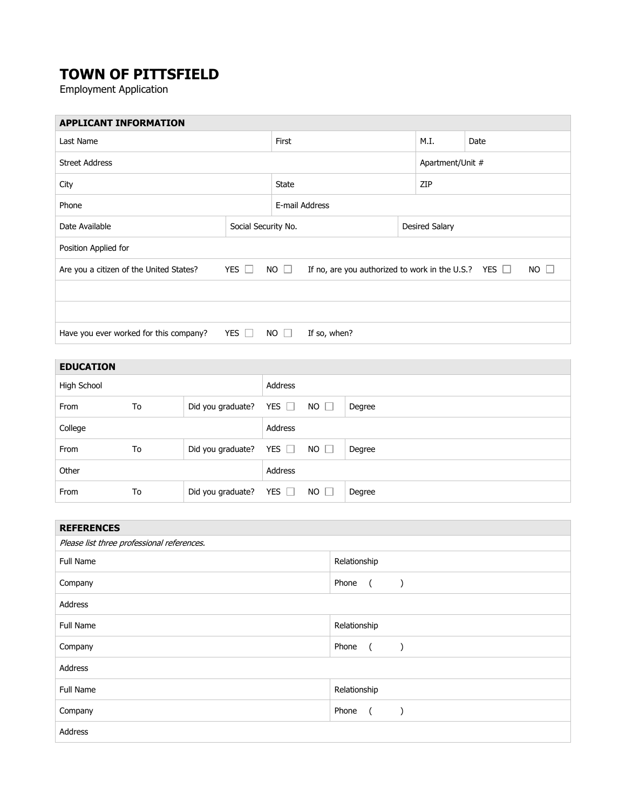# **TOWN OF PITTSFIELD**

Employment Application

| Last Name  |  |                                                                            |                | M.I.             | Date           |                                                           |
|------------|--|----------------------------------------------------------------------------|----------------|------------------|----------------|-----------------------------------------------------------|
|            |  |                                                                            |                | Apartment/Unit # |                |                                                           |
| City       |  |                                                                            |                | ZIP              |                |                                                           |
| Phone      |  |                                                                            |                |                  |                |                                                           |
|            |  |                                                                            |                |                  |                |                                                           |
|            |  |                                                                            |                |                  |                |                                                           |
| YES $\Box$ |  |                                                                            |                |                  |                | $NO$ $\Box$                                               |
|            |  |                                                                            |                |                  |                |                                                           |
|            |  |                                                                            |                |                  |                |                                                           |
| YES $\Box$ |  | If so, when?                                                               |                |                  |                |                                                           |
|            |  | First<br><b>State</b><br>Social Security No.<br>$NO$ $\Box$<br>$NO$ $\Box$ | E-mail Address |                  | Desired Salary | If no, are you authorized to work in the U.S.? YES $\Box$ |

| <b>EDUCATION</b> |    |                   |            |             |        |
|------------------|----|-------------------|------------|-------------|--------|
| High School      |    |                   | Address    |             |        |
| From             | To | Did you graduate? | YES $\Box$ | $NO$ $\Box$ | Degree |
| College          |    |                   | Address    |             |        |
| From             | To | Did you graduate? | YES $\Box$ | $NO$ $\Box$ | Degree |
| Other            |    |                   | Address    |             |        |
| From             | To | Did you graduate? | YES $\Box$ | $NO$ $\Box$ | Degree |

| <b>REFERENCES</b>                          |                                    |  |  |
|--------------------------------------------|------------------------------------|--|--|
| Please list three professional references. |                                    |  |  |
| <b>Full Name</b>                           | Relationship                       |  |  |
| Company                                    | Phone<br>$\sqrt{2}$<br>$\lambda$   |  |  |
| Address                                    |                                    |  |  |
| Full Name                                  | Relationship                       |  |  |
| Company                                    | Phone<br>$\left($<br>$\rightarrow$ |  |  |
| Address                                    |                                    |  |  |
| Full Name                                  | Relationship                       |  |  |
| Company                                    | Phone<br>$\overline{a}$            |  |  |
| Address                                    |                                    |  |  |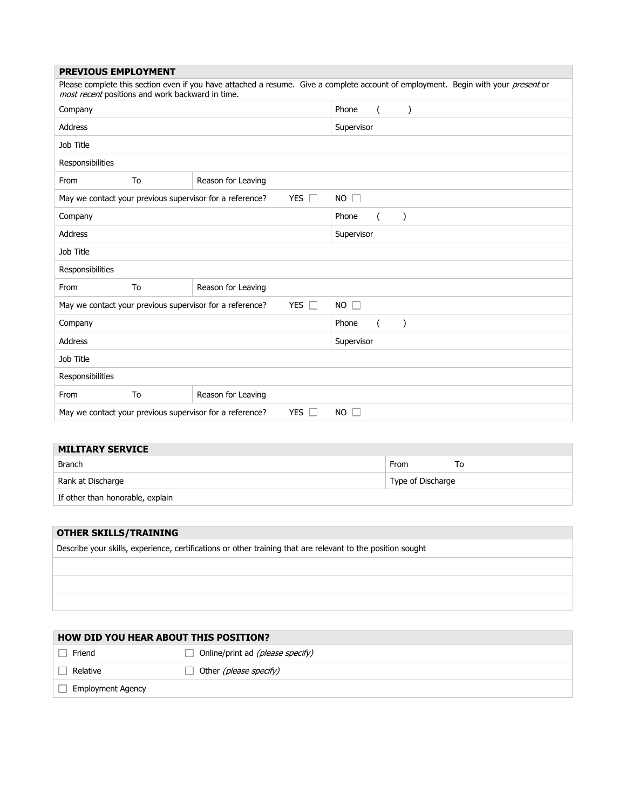| <b>PREVIOUS EMPLOYMENT</b>                                                                                                                                                             |    |                    |                     |                |               |  |  |  |
|----------------------------------------------------------------------------------------------------------------------------------------------------------------------------------------|----|--------------------|---------------------|----------------|---------------|--|--|--|
| Please complete this section even if you have attached a resume. Give a complete account of employment. Begin with your present or<br>most recent positions and work backward in time. |    |                    |                     |                |               |  |  |  |
| Company                                                                                                                                                                                |    |                    | Phone               | $\left($       | $\mathcal{E}$ |  |  |  |
| <b>Address</b>                                                                                                                                                                         |    |                    | Supervisor          |                |               |  |  |  |
| Job Title                                                                                                                                                                              |    |                    |                     |                |               |  |  |  |
| Responsibilities                                                                                                                                                                       |    |                    |                     |                |               |  |  |  |
| From                                                                                                                                                                                   | To | Reason for Leaving |                     |                |               |  |  |  |
| <b>YES</b><br>May we contact your previous supervisor for a reference?<br>$\Box$                                                                                                       |    |                    | $NO$ $\Box$         |                |               |  |  |  |
| Company                                                                                                                                                                                |    |                    | Phone               | $\overline{ }$ |               |  |  |  |
| Address                                                                                                                                                                                |    |                    | Supervisor          |                |               |  |  |  |
| Job Title                                                                                                                                                                              |    |                    |                     |                |               |  |  |  |
| Responsibilities                                                                                                                                                                       |    |                    |                     |                |               |  |  |  |
| From                                                                                                                                                                                   | To | Reason for Leaving |                     |                |               |  |  |  |
| <b>YES</b><br>May we contact your previous supervisor for a reference?<br>П                                                                                                            |    |                    | <b>NO</b><br>$\Box$ |                |               |  |  |  |
| Company                                                                                                                                                                                |    |                    | Phone               | $\left($       |               |  |  |  |
| <b>Address</b>                                                                                                                                                                         |    |                    | Supervisor          |                |               |  |  |  |
| Job Title                                                                                                                                                                              |    |                    |                     |                |               |  |  |  |
| Responsibilities                                                                                                                                                                       |    |                    |                     |                |               |  |  |  |
| From                                                                                                                                                                                   | To | Reason for Leaving |                     |                |               |  |  |  |
| <b>YES</b><br>May we contact your previous supervisor for a reference?<br>NO.                                                                                                          |    |                    |                     |                |               |  |  |  |

## **MILITARY SERVICE**

| Branch                           | From<br>10        |
|----------------------------------|-------------------|
| Rank at Discharge                | Type of Discharge |
| If other than honorable, explain |                   |

### **OTHER SKILLS/TRAINING**

|  | Describe your skills, experience, certifications or other training that are relevant to the position sought |  |  |  |  |
|--|-------------------------------------------------------------------------------------------------------------|--|--|--|--|
|  |                                                                                                             |  |  |  |  |

| <b>HOW DID YOU HEAR ABOUT THIS POSITION?</b> |                                         |  |  |  |
|----------------------------------------------|-----------------------------------------|--|--|--|
| Friend                                       | Online/print ad <i>(please specify)</i> |  |  |  |
| Relative                                     | Other (please specify)                  |  |  |  |
| <b>Employment Agency</b>                     |                                         |  |  |  |